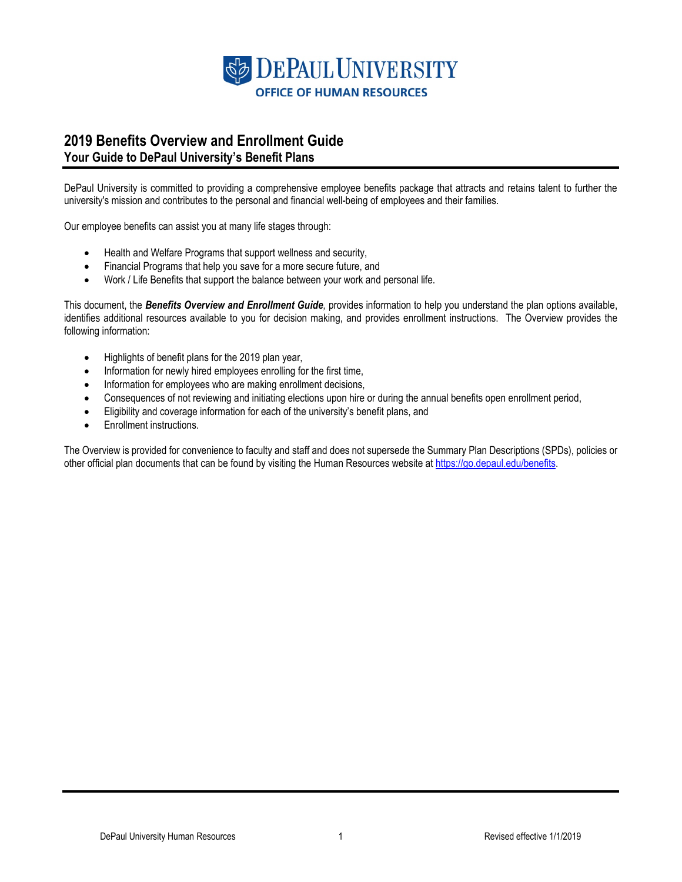

## **2019 Benefits Overview and Enrollment Guide Your Guide to DePaul University's Benefit Plans**

DePaul University is committed to providing a comprehensive employee benefits package that attracts and retains talent to further the university's mission and contributes to the personal and financial well-being of employees and their families.

Our employee benefits can assist you at many life stages through:

- Health and Welfare Programs that support wellness and security,
- Financial Programs that help you save for a more secure future, and
- Work / Life Benefits that support the balance between your work and personal life.

This document, the *Benefits Overview and Enrollment Guide,* provides information to help you understand the plan options available, identifies additional resources available to you for decision making, and provides enrollment instructions. The Overview provides the following information:

- Highlights of benefit plans for the 2019 plan year,
- Information for newly hired employees enrolling for the first time,
- Information for employees who are making enrollment decisions,
- Consequences of not reviewing and initiating elections upon hire or during the annual benefits open enrollment period,
- Eligibility and coverage information for each of the university's benefit plans, and
- Enrollment instructions.

The Overview is provided for convenience to faculty and staff and does not supersede the Summary Plan Descriptions (SPDs), policies or other official plan documents that can be found by visiting the Human Resources website at [https://go.depaul.edu/benefits.](https://go.depaul.edu/benefits)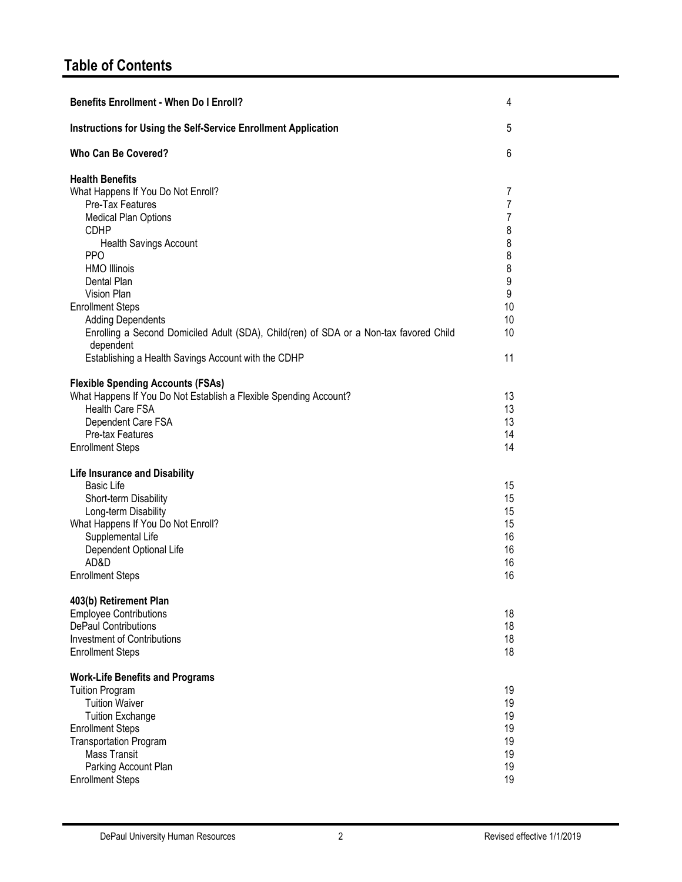| <b>Benefits Enrollment - When Do I Enroll?</b>                                                                                                                                                                                                                                                                                                                                                                                                               | 4                                                                              |
|--------------------------------------------------------------------------------------------------------------------------------------------------------------------------------------------------------------------------------------------------------------------------------------------------------------------------------------------------------------------------------------------------------------------------------------------------------------|--------------------------------------------------------------------------------|
| Instructions for Using the Self-Service Enrollment Application                                                                                                                                                                                                                                                                                                                                                                                               | 5                                                                              |
| <b>Who Can Be Covered?</b>                                                                                                                                                                                                                                                                                                                                                                                                                                   | 6                                                                              |
| <b>Health Benefits</b><br>What Happens If You Do Not Enroll?<br>Pre-Tax Features<br><b>Medical Plan Options</b><br><b>CDHP</b><br><b>Health Savings Account</b><br>PP <sub>O</sub><br><b>HMO Illinois</b><br>Dental Plan<br>Vision Plan<br><b>Enrollment Steps</b><br><b>Adding Dependents</b><br>Enrolling a Second Domiciled Adult (SDA), Child(ren) of SDA or a Non-tax favored Child<br>dependent<br>Establishing a Health Savings Account with the CDHP | 7<br>$\overline{7}$<br>7<br>8<br>8<br>8<br>8<br>9<br>9<br>10<br>10<br>10<br>11 |
| <b>Flexible Spending Accounts (FSAs)</b><br>What Happens If You Do Not Establish a Flexible Spending Account?<br><b>Health Care FSA</b><br>Dependent Care FSA<br>Pre-tax Features<br><b>Enrollment Steps</b>                                                                                                                                                                                                                                                 | 13<br>13<br>13<br>14<br>14                                                     |
| <b>Life Insurance and Disability</b><br><b>Basic Life</b><br>Short-term Disability<br>Long-term Disability<br>What Happens If You Do Not Enroll?<br>Supplemental Life<br>Dependent Optional Life<br>AD&D<br><b>Enrollment Steps</b>                                                                                                                                                                                                                          | 15<br>15<br>15<br>15<br>16<br>16<br>16<br>16                                   |
| 403(b) Retirement Plan<br><b>Employee Contributions</b><br><b>DePaul Contributions</b><br><b>Investment of Contributions</b><br><b>Enrollment Steps</b>                                                                                                                                                                                                                                                                                                      | 18<br>18<br>18<br>18                                                           |
| <b>Work-Life Benefits and Programs</b><br><b>Tuition Program</b><br><b>Tuition Waiver</b><br><b>Tuition Exchange</b><br><b>Enrollment Steps</b><br><b>Transportation Program</b><br><b>Mass Transit</b><br>Parking Account Plan<br><b>Enrollment Steps</b>                                                                                                                                                                                                   | 19<br>19<br>19<br>19<br>19<br>19<br>19<br>19                                   |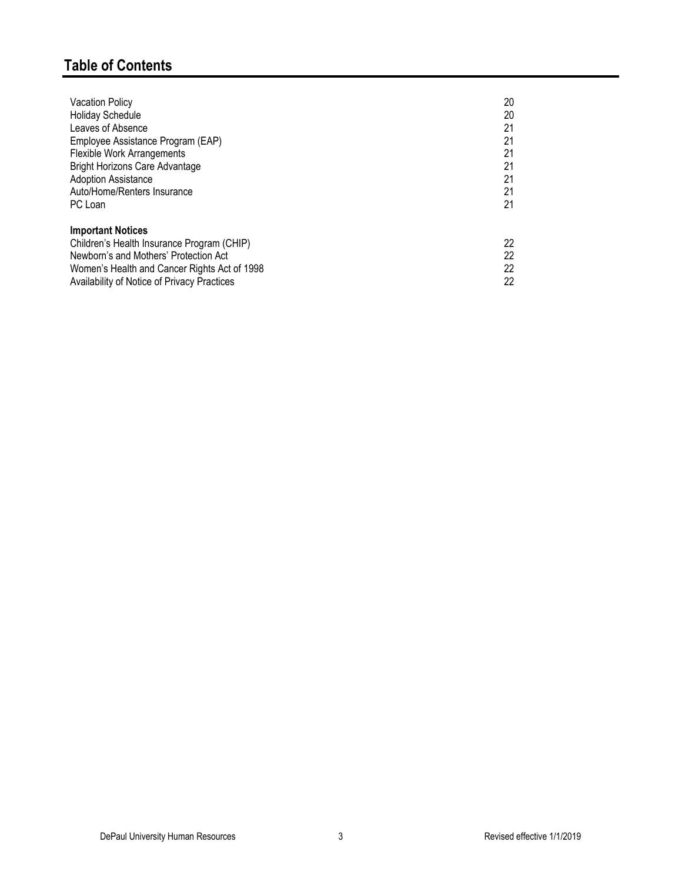# **Table of Contents**

| <b>Vacation Policy</b>                       | 20 |
|----------------------------------------------|----|
| <b>Holiday Schedule</b>                      | 20 |
| Leaves of Absence                            | 21 |
| Employee Assistance Program (EAP)            | 21 |
| <b>Flexible Work Arrangements</b>            | 21 |
| <b>Bright Horizons Care Advantage</b>        | 21 |
| <b>Adoption Assistance</b>                   | 21 |
| Auto/Home/Renters Insurance                  | 21 |
| PC Loan                                      | 21 |
| <b>Important Notices</b>                     |    |
| Children's Health Insurance Program (CHIP)   | 22 |
| Newborn's and Mothers' Protection Act        | 22 |
| Women's Health and Cancer Rights Act of 1998 | 22 |
| Availability of Notice of Privacy Practices  | 22 |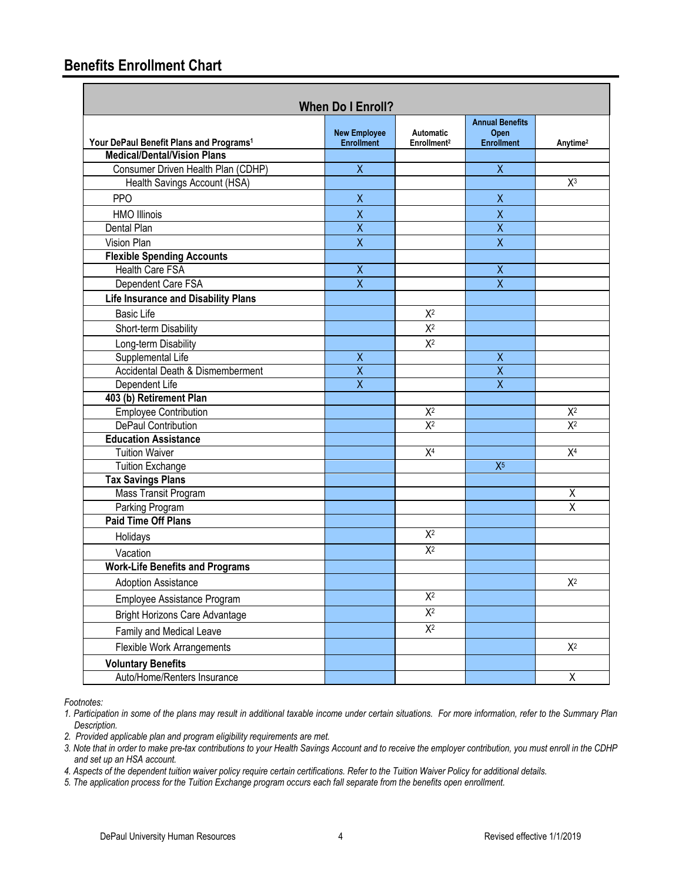# **Benefits Enrollment Chart**

| <b>When Do I Enroll?</b>                            |                                          |                                             |                                                     |                      |
|-----------------------------------------------------|------------------------------------------|---------------------------------------------|-----------------------------------------------------|----------------------|
| Your DePaul Benefit Plans and Programs <sup>1</sup> | <b>New Employee</b><br><b>Enrollment</b> | <b>Automatic</b><br>Enrollment <sup>2</sup> | <b>Annual Benefits</b><br>Open<br><b>Enrollment</b> | Anytime <sup>2</sup> |
| <b>Medical/Dental/Vision Plans</b>                  |                                          |                                             |                                                     |                      |
| Consumer Driven Health Plan (CDHP)                  | $\overline{X}$                           |                                             | $\overline{X}$                                      |                      |
| Health Savings Account (HSA)                        |                                          |                                             |                                                     | $X^3$                |
| <b>PPO</b>                                          | $\mathsf X$                              |                                             | $\sf X$                                             |                      |
| <b>HMO Illinois</b>                                 | $\mathsf{X}$                             |                                             | $\pmb{\chi}$                                        |                      |
| Dental Plan                                         | $\overline{\mathsf{x}}$                  |                                             | $\overline{\mathsf{x}}$                             |                      |
| Vision Plan                                         | $\overline{X}$                           |                                             | $\sf X$                                             |                      |
| <b>Flexible Spending Accounts</b>                   |                                          |                                             |                                                     |                      |
| <b>Health Care FSA</b>                              | X                                        |                                             | $\pmb{\chi}$                                        |                      |
| Dependent Care FSA                                  | $\overline{\mathsf{x}}$                  |                                             | $\overline{\mathsf{x}}$                             |                      |
| <b>Life Insurance and Disability Plans</b>          |                                          |                                             |                                                     |                      |
| <b>Basic Life</b>                                   |                                          | $X^2$                                       |                                                     |                      |
| Short-term Disability                               |                                          | $X^2$                                       |                                                     |                      |
| Long-term Disability                                |                                          | $X^2$                                       |                                                     |                      |
| Supplemental Life                                   | $\overline{X}$                           |                                             | $\mathsf X$                                         |                      |
| Accidental Death & Dismemberment                    | $\overline{\mathsf{x}}$                  |                                             | $\overline{\mathsf{x}}$                             |                      |
| Dependent Life                                      | $\overline{\mathsf{x}}$                  |                                             | $\overline{\mathsf{x}}$                             |                      |
| 403 (b) Retirement Plan                             |                                          |                                             |                                                     |                      |
| <b>Employee Contribution</b>                        |                                          | $X^2$                                       |                                                     | $X^2$                |
| DePaul Contribution                                 |                                          | $X^2$                                       |                                                     | $X^2$                |
| <b>Education Assistance</b>                         |                                          |                                             |                                                     |                      |
| <b>Tuition Waiver</b>                               |                                          | X <sup>4</sup>                              |                                                     | X <sup>4</sup>       |
| <b>Tuition Exchange</b>                             |                                          |                                             | $X^5$                                               |                      |
| <b>Tax Savings Plans</b>                            |                                          |                                             |                                                     |                      |
| Mass Transit Program                                |                                          |                                             |                                                     | Χ                    |
| Parking Program                                     |                                          |                                             |                                                     | X                    |
| <b>Paid Time Off Plans</b>                          |                                          |                                             |                                                     |                      |
| Holidays                                            |                                          | $X^2$                                       |                                                     |                      |
| Vacation                                            |                                          | $X^2$                                       |                                                     |                      |
| <b>Work-Life Benefits and Programs</b>              |                                          |                                             |                                                     |                      |
| <b>Adoption Assistance</b>                          |                                          |                                             |                                                     | $X^2$                |
| Employee Assistance Program                         |                                          | $\overline{\mathsf{X}^2}$                   |                                                     |                      |
| <b>Bright Horizons Care Advantage</b>               |                                          | $X^2$                                       |                                                     |                      |
| Family and Medical Leave                            |                                          | $X^2$                                       |                                                     |                      |
| Flexible Work Arrangements                          |                                          |                                             |                                                     | $X^2$                |
| <b>Voluntary Benefits</b>                           |                                          |                                             |                                                     |                      |
| Auto/Home/Renters Insurance                         |                                          |                                             |                                                     | $\overline{X}$       |

*Footnotes:*

*<sup>1.</sup> Participation in some of the plans may result in additional taxable income under certain situations. For more information, refer to the Summary Plan Description.*

*<sup>2.</sup> Provided applicable plan and program eligibility requirements are met.*

*<sup>3.</sup> Note that in order to make pre-tax contributions to your Health Savings Account and to receive the employer contribution, you must enroll in the CDHP and set up an HSA account.*

*<sup>4.</sup> Aspects of the dependent tuition waiver policy require certain certifications. Refer to the Tuition Waiver Policy for additional details.*

*<sup>5.</sup> The application process for the Tuition Exchange program occurs each fall separate from the benefits open enrollment.*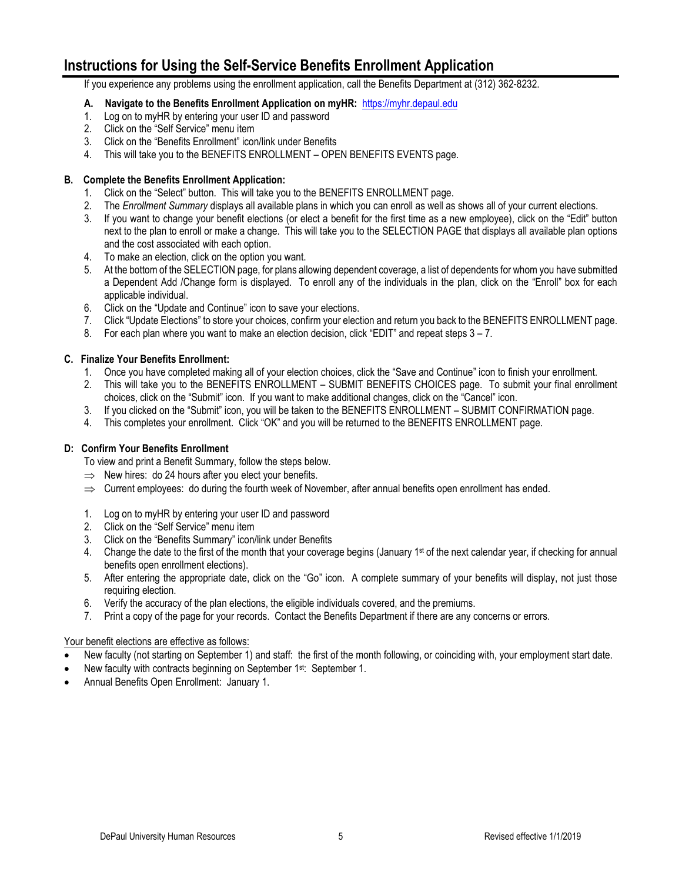# **Instructions for Using the Self-Service Benefits Enrollment Application**

If you experience any problems using the enrollment application, call the Benefits Department at (312) 362-8232.

## **A. Navigate to the Benefits Enrollment Application on myHR:** [https://myhr.depaul.edu](https://myhr.depaul.edu/)

- 1. Log on to myHR by entering your user ID and password
- 2. Click on the "Self Service" menu item
- 3. Click on the "Benefits Enrollment" icon/link under Benefits
- 4. This will take you to the BENEFITS ENROLLMENT OPEN BENEFITS EVENTS page.

## **B. Complete the Benefits Enrollment Application:**

- 1. Click on the "Select" button. This will take you to the BENEFITS ENROLLMENT page.
- 2. The *Enrollment Summary* displays all available plans in which you can enroll as well as shows all of your current elections.
- 3. If you want to change your benefit elections (or elect a benefit for the first time as a new employee), click on the "Edit" button next to the plan to enroll or make a change. This will take you to the SELECTION PAGE that displays all available plan options and the cost associated with each option.
- 4. To make an election, click on the option you want.
- 5. At the bottom of the SELECTION page, for plans allowing dependent coverage, a list of dependents for whom you have submitted a Dependent Add /Change form is displayed. To enroll any of the individuals in the plan, click on the "Enroll" box for each applicable individual.
- 6. Click on the "Update and Continue" icon to save your elections.
- 7. Click "Update Elections" to store your choices, confirm your election and return you back to the BENEFITS ENROLLMENT page.
- 8. For each plan where you want to make an election decision, click "EDIT" and repeat steps  $3 7$ .

## **C. Finalize Your Benefits Enrollment:**

- 1. Once you have completed making all of your election choices, click the "Save and Continue" icon to finish your enrollment.
- 2. This will take you to the BENEFITS ENROLLMENT SUBMIT BENEFITS CHOICES page. To submit your final enrollment choices, click on the "Submit" icon. If you want to make additional changes, click on the "Cancel" icon.
- 3. If you clicked on the "Submit" icon, you will be taken to the BENEFITS ENROLLMENT SUBMIT CONFIRMATION page.
- 4. This completes your enrollment. Click "OK" and you will be returned to the BENEFITS ENROLLMENT page.

## **D: Confirm Your Benefits Enrollment**

To view and print a Benefit Summary, follow the steps below.

- $\Rightarrow$  New hires: do 24 hours after you elect your benefits.
- $\Rightarrow$  Current employees: do during the fourth week of November, after annual benefits open enrollment has ended.
- 1. Log on to myHR by entering your user ID and password
- 2. Click on the "Self Service" menu item
- 3. Click on the "Benefits Summary" icon/link under Benefits
- 4. Change the date to the first of the month that your coverage begins (January 1<sup>st</sup> of the next calendar year, if checking for annual benefits open enrollment elections).
- 5. After entering the appropriate date, click on the "Go" icon. A complete summary of your benefits will display, not just those requiring election.
- 6. Verify the accuracy of the plan elections, the eligible individuals covered, and the premiums.
- 7. Print a copy of the page for your records. Contact the Benefits Department if there are any concerns or errors.

## Your benefit elections are effective as follows:

- New faculty (not starting on September 1) and staff: the first of the month following, or coinciding with, your employment start date.
- New faculty with contracts beginning on September 1st: September 1.
- Annual Benefits Open Enrollment: January 1.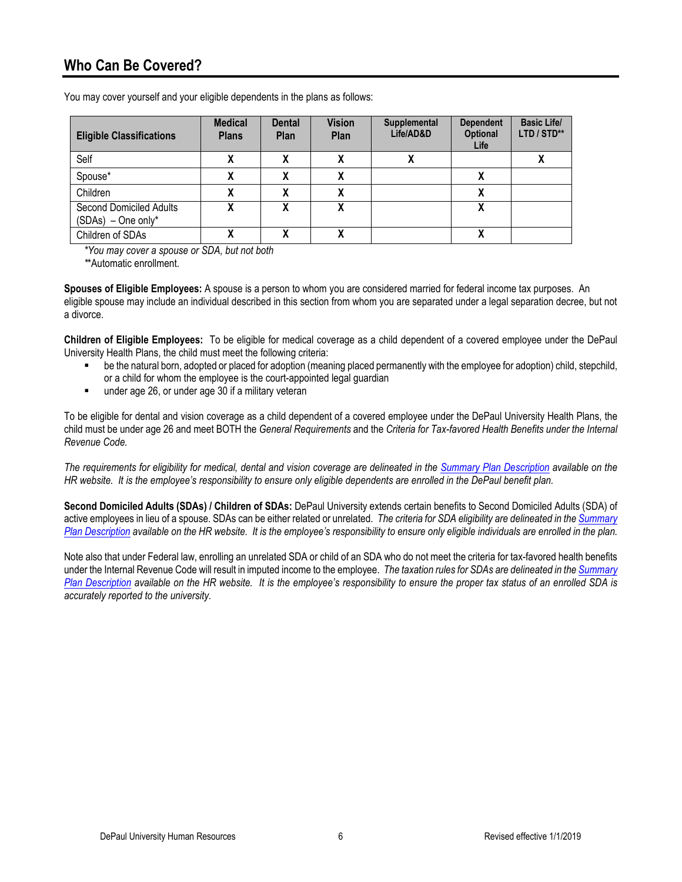| <b>Eligible Classifications</b>                 | <b>Medical</b><br><b>Plans</b> | <b>Dental</b><br><b>Plan</b> | <b>Vision</b><br>Plan | Supplemental<br>Life/AD&D            | <b>Dependent</b><br><b>Optional</b><br>Life | <b>Basic Life/</b><br>LTD / STD** |
|-------------------------------------------------|--------------------------------|------------------------------|-----------------------|--------------------------------------|---------------------------------------------|-----------------------------------|
| Self                                            | Λ                              | v                            | v<br>Λ                | v<br>$\boldsymbol{\mathsf{\Lambda}}$ |                                             | Λ                                 |
| Spouse*                                         |                                |                              |                       |                                      |                                             |                                   |
| Children                                        |                                | v                            | χ                     |                                      |                                             |                                   |
| Second Domiciled Adults<br>$(SDAs) - One only*$ |                                | v                            | χ                     |                                      |                                             |                                   |
| Children of SDAs                                |                                | v                            | v                     |                                      |                                             |                                   |

You may cover yourself and your eligible dependents in the plans as follows:

*\*You may cover a spouse or SDA, but not both*

*\**\*Automatic enrollment.

**Spouses of Eligible Employees:** A spouse is a person to whom you are considered married for federal income tax purposes. An eligible spouse may include an individual described in this section from whom you are separated under a legal separation decree, but not a divorce.

**Children of Eligible Employees:** To be eligible for medical coverage as a child dependent of a covered employee under the DePaul University Health Plans, the child must meet the following criteria:

- be the natural born, adopted or placed for adoption (meaning placed permanently with the employee for adoption) child, stepchild, or a child for whom the employee is the court-appointed legal guardian
- **under age 26, or under age 30 if a military veteran**

To be eligible for dental and vision coverage as a child dependent of a covered employee under the DePaul University Health Plans, the child must be under age 26 and meet BOTH the *General Requirements* and the *Criteria for Tax-favored Health Benefits under the Internal Revenue Code.*

*The requirements for eligibility for medical, dental and vision coverage are delineated in the [Summary Plan Description](https://offices.depaul.edu/human-resources/benefits/health-benefits/Pages/default.aspx) available on the HR website. It is the employee's responsibility to ensure only eligible dependents are enrolled in the DePaul benefit plan.*

**Second Domiciled Adults (SDAs) / Children of SDAs:** DePaul University extends certain benefits to Second Domiciled Adults (SDA) of active employees in lieu of a spouse. SDAs can be either related or unrelated. *The criteria for SDA eligibility are delineated in th[e Summary](https://offices.depaul.edu/human-resources/benefits/health-benefits/Pages/default.aspx)  [Plan Description](https://offices.depaul.edu/human-resources/benefits/health-benefits/Pages/default.aspx) available on the HR website. It is the employee's responsibility to ensure only eligible individuals are enrolled in the plan.*

Note also that under Federal law, enrolling an unrelated SDA or child of an SDA who do not meet the criteria for tax-favored health benefits under the Internal Revenue Code will result in imputed income to the employee. *The taxation rules for SDAs are delineated in th[e Summary](https://offices.depaul.edu/human-resources/benefits/health-benefits/Pages/default.aspx)  [Plan Description](https://offices.depaul.edu/human-resources/benefits/health-benefits/Pages/default.aspx) available on the HR website. It is the employee's responsibility to ensure the proper tax status of an enrolled SDA is accurately reported to the university.*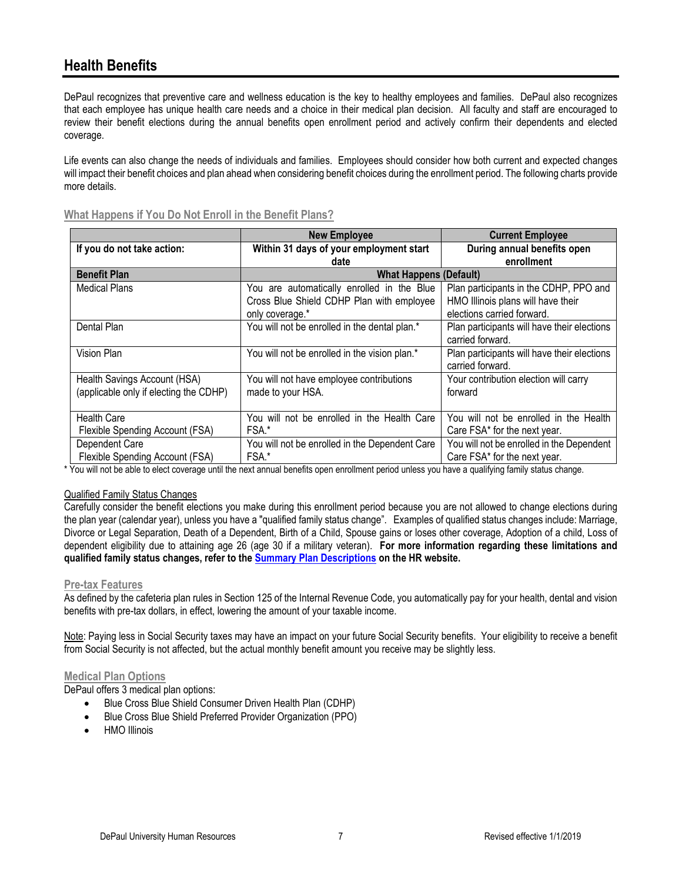# **Health Benefits**

DePaul recognizes that preventive care and wellness education is the key to healthy employees and families. DePaul also recognizes that each employee has unique health care needs and a choice in their medical plan decision. All faculty and staff are encouraged to review their benefit elections during the annual benefits open enrollment period and actively confirm their dependents and elected coverage.

Life events can also change the needs of individuals and families. Employees should consider how both current and expected changes will impact their benefit choices and plan ahead when considering benefit choices during the enrollment period. The following charts provide more details.

|                                        | <b>New Employee</b>                            | <b>Current Employee</b>                     |
|----------------------------------------|------------------------------------------------|---------------------------------------------|
| If you do not take action:             | Within 31 days of your employment start        | During annual benefits open                 |
|                                        | date                                           | enrollment                                  |
| <b>Benefit Plan</b>                    | <b>What Happens (Default)</b>                  |                                             |
| <b>Medical Plans</b>                   | You are automatically enrolled in the Blue     | Plan participants in the CDHP, PPO and      |
|                                        | Cross Blue Shield CDHP Plan with employee      | HMO Illinois plans will have their          |
|                                        | only coverage.*                                | elections carried forward.                  |
| Dental Plan                            | You will not be enrolled in the dental plan.*  | Plan participants will have their elections |
|                                        |                                                | carried forward.                            |
| Vision Plan                            | You will not be enrolled in the vision plan.*  | Plan participants will have their elections |
|                                        |                                                | carried forward.                            |
| Health Savings Account (HSA)           | You will not have employee contributions       | Your contribution election will carry       |
| (applicable only if electing the CDHP) | made to your HSA.                              | forward                                     |
|                                        |                                                |                                             |
| <b>Health Care</b>                     | You will not be enrolled in the Health Care    | You will not be enrolled in the Health      |
| Flexible Spending Account (FSA)        | FSA.*                                          | Care FSA* for the next year.                |
| Dependent Care                         | You will not be enrolled in the Dependent Care | You will not be enrolled in the Dependent   |
| Flexible Spending Account (FSA)        | FSA.*                                          | Care FSA* for the next year.                |

**What Happens if You Do Not Enroll in the Benefit Plans?**

\* You will not be able to elect coverage until the next annual benefits open enrollment period unless you have a qualifying family status change.

## Qualified Family Status Changes

Carefully consider the benefit elections you make during this enrollment period because you are not allowed to change elections during the plan year (calendar year), unless you have a "qualified family status change". Examples of qualified status changes include: Marriage, Divorce or Legal Separation, Death of a Dependent, Birth of a Child, Spouse gains or loses other coverage, Adoption of a child, Loss of dependent eligibility due to attaining age 26 (age 30 if a military veteran). **For more information regarding these limitations and qualified family status changes, refer to the [Summary Plan Descriptions](https://offices.depaul.edu/human-resources/benefits/health-benefits/Pages/default.aspx) on the HR website.**

## **Pre-tax Features**

As defined by the cafeteria plan rules in Section 125 of the Internal Revenue Code, you automatically pay for your health, dental and vision benefits with pre-tax dollars, in effect, lowering the amount of your taxable income.

Note: Paying less in Social Security taxes may have an impact on your future Social Security benefits. Your eligibility to receive a benefit from Social Security is not affected, but the actual monthly benefit amount you receive may be slightly less.

## **Medical Plan Options**

DePaul offers 3 medical plan options:

- Blue Cross Blue Shield Consumer Driven Health Plan (CDHP)
- Blue Cross Blue Shield Preferred Provider Organization (PPO)
- HMO Illinois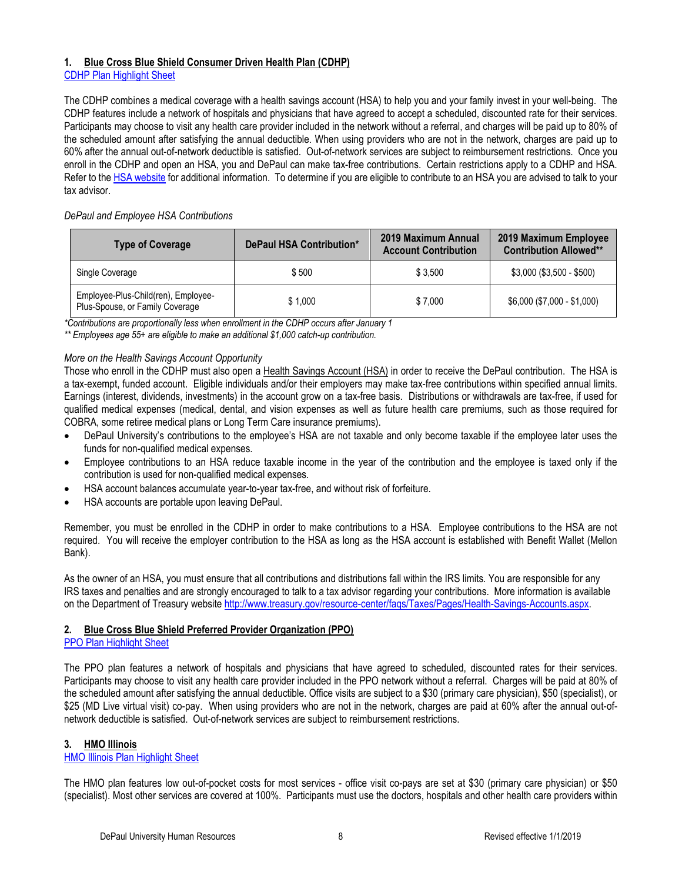## **1. Blue Cross Blue Shield Consumer Driven Health Plan (CDHP)**

CDHP Plan [Highlight Sheet](https://offices.depaul.edu/human-resources/benefits/Documents/2019-BCBS-CDHP-Highlight-Sheet.pdf)

The CDHP combines a medical coverage with a health savings account (HSA) to help you and your family invest in your well-being. The CDHP features include a network of hospitals and physicians that have agreed to accept a scheduled, discounted rate for their services. Participants may choose to visit any health care provider included in the network without a referral, and charges will be paid up to 80% of the scheduled amount after satisfying the annual deductible. When using providers who are not in the network, charges are paid up to 60% after the annual out-of-network deductible is satisfied. Out-of-network services are subject to reimbursement restrictions. Once you enroll in the CDHP and open an HSA, you and DePaul can make tax-free contributions. Certain restrictions apply to a CDHP and HSA. Refer to the [HSA website](https://offices.depaul.edu/human-resources/benefits/health-benefits/medical/Pages/health-savings-account.aspx) for additional information. To determine if you are eligible to contribute to an HSA you are advised to talk to your tax advisor.

## *DePaul and Employee HSA Contributions*

| <b>Type of Coverage</b>                                                | DePaul HSA Contribution* | 2019 Maximum Annual<br><b>Account Contribution</b> | 2019 Maximum Employee<br><b>Contribution Allowed**</b> |
|------------------------------------------------------------------------|--------------------------|----------------------------------------------------|--------------------------------------------------------|
| Single Coverage                                                        | \$500                    | \$3.500                                            | $$3,000 ($3,500 - $500)$                               |
| Employee-Plus-Child(ren), Employee-<br>Plus-Spouse, or Family Coverage | \$1.000                  | \$7.000                                            | $$6,000 ($7,000 - $1,000)$                             |

*\*Contributions are proportionally less when enrollment in the CDHP occurs after January 1*

*\*\* Employees age 55+ are eligible to make an additional \$1,000 catch-up contribution.*

## *More on the Health Savings Account Opportunity*

Those who enroll in the CDHP must also open a Health Savings Account (HSA) in order to receive the DePaul contribution. The HSA is a tax-exempt, funded account. Eligible individuals and/or their employers may make tax-free contributions within specified annual limits. Earnings (interest, dividends, investments) in the account grow on a tax-free basis. Distributions or withdrawals are tax-free, if used for qualified medical expenses (medical, dental, and vision expenses as well as future health care premiums, such as those required for COBRA, some retiree medical plans or Long Term Care insurance premiums).

- DePaul University's contributions to the employee's HSA are not taxable and only become taxable if the employee later uses the funds for non-qualified medical expenses.
- Employee contributions to an HSA reduce taxable income in the year of the contribution and the employee is taxed only if the contribution is used for non-qualified medical expenses.
- HSA account balances accumulate year-to-year tax-free, and without risk of forfeiture.
- HSA accounts are portable upon leaving DePaul.

Remember, you must be enrolled in the CDHP in order to make contributions to a HSA. Employee contributions to the HSA are not required. You will receive the employer contribution to the HSA as long as the HSA account is established with Benefit Wallet (Mellon Bank).

As the owner of an HSA, you must ensure that all contributions and distributions fall within the IRS limits. You are responsible for any IRS taxes and penalties and are strongly encouraged to talk to a tax advisor regarding your contributions. More information is available on the Department of Treasury website [http://www.treasury.gov/resource-center/faqs/Taxes/Pages/Health-Savings-Accounts.aspx.](http://www.treasury.gov/resource-center/faqs/Taxes/Pages/Health-Savings-Accounts.aspx)

## **2. Blue Cross Blue Shield Preferred Provider Organization (PPO)**

## PPO Plan [Highlight Sheet](https://offices.depaul.edu/human-resources/benefits/Documents/2019-BCBS-PPO-Highlight-Sheet.pdf)

The PPO plan features a network of hospitals and physicians that have agreed to scheduled, discounted rates for their services. Participants may choose to visit any health care provider included in the PPO network without a referral. Charges will be paid at 80% of the scheduled amount after satisfying the annual deductible. Office visits are subject to a \$30 (primary care physician), \$50 (specialist), or \$25 (MD Live virtual visit) co-pay. When using providers who are not in the network, charges are paid at 60% after the annual out-ofnetwork deductible is satisfied. Out-of-network services are subject to reimbursement restrictions.

## **3. HMO Illinois**

## [HMO Illinois Plan](https://offices.depaul.edu/human-resources/benefits/Documents/2019-HMO-IL-Highlight-Sheet.pdf) Highlight Sheet

The HMO plan features low out-of-pocket costs for most services - office visit co-pays are set at \$30 (primary care physician) or \$50 (specialist). Most other services are covered at 100%. Participants must use the doctors, hospitals and other health care providers within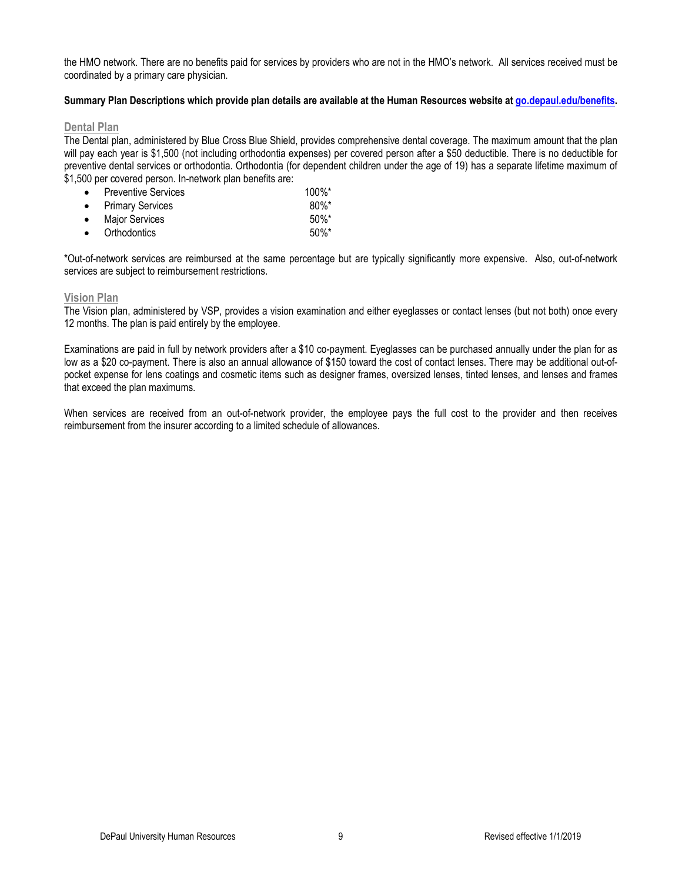the HMO network. There are no benefits paid for services by providers who are not in the HMO's network. All services received must be coordinated by a primary care physician.

### **Summary Plan Descriptions which provide plan details are available at the Human Resources website at [go.depaul.edu/benefits.](http://offices.depaul.edu/human-resources/benefits/Pages/default.aspx)**

## **Dental Plan**

The Dental plan, administered by Blue Cross Blue Shield, provides comprehensive dental coverage. The maximum amount that the plan will pay each year is \$1,500 (not including orthodontia expenses) per covered person after a \$50 deductible. There is no deductible for preventive dental services or orthodontia. Orthodontia (for dependent children under the age of 19) has a separate lifetime maximum of \$1,500 per covered person. In-network plan benefits are:

| $\bullet$ Preventive Services | $100\%$ * |
|-------------------------------|-----------|
| • Primary Services            | $80\%$ *  |
| • Major Services              | $50\%$ *  |
| • Orthodontics                | $50\%$ *  |

\*Out-of-network services are reimbursed at the same percentage but are typically significantly more expensive. Also, out-of-network services are subject to reimbursement restrictions.

#### **Vision Plan**

The Vision plan, administered by VSP, provides a vision examination and either eyeglasses or contact lenses (but not both) once every 12 months. The plan is paid entirely by the employee.

Examinations are paid in full by network providers after a \$10 co-payment. Eyeglasses can be purchased annually under the plan for as low as a \$20 co-payment. There is also an annual allowance of \$150 toward the cost of contact lenses. There may be additional out-ofpocket expense for lens coatings and cosmetic items such as designer frames, oversized lenses, tinted lenses, and lenses and frames that exceed the plan maximums.

When services are received from an out-of-network provider, the employee pays the full cost to the provider and then receives reimbursement from the insurer according to a limited schedule of allowances.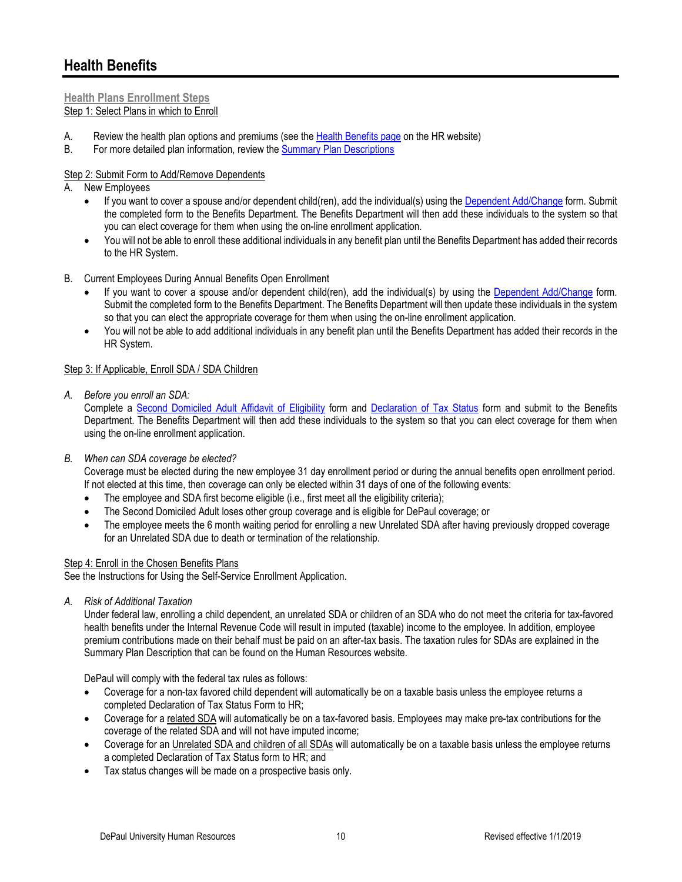## **Health Benefits**

## **Health Plans Enrollment Steps** Step 1: Select Plans in which to Enroll

- A. Review the health plan options and premiums (see the [Health Benefits page](http://offices.depaul.edu/human-resources/benefits/health-benefits/Pages/default.aspx) on the HR website)
- B. For more detailed plan information, review the [Summary Plan Descriptions](https://offices.depaul.edu/human-resources/benefits/health-benefits/Pages/default.aspx)

## Step 2: Submit Form to Add/Remove Dependents

- A. New Employees
	- If you want to cover a spouse and/or dependent child(ren), add the individual(s) using the [Dependent Add/Change](https://offices.depaul.edu/human-resources/forms/Documents/2019-Dependent-Add-Change-Form.pdf) form. Submit the completed form to the Benefits Department. The Benefits Department will then add these individuals to the system so that you can elect coverage for them when using the on-line enrollment application.
	- You will not be able to enroll these additional individuals in any benefit plan until the Benefits Department has added their records to the HR System.
- B. Current Employees During Annual Benefits Open Enrollment
	- If you want to cover a spouse and/or dependent child(ren), add the individual(s) by using the [Dependent Add/Change](https://offices.depaul.edu/human-resources/forms/Documents/2019-Dependent-Add-Change-Form.pdf) form. Submit the completed form to the Benefits Department. The Benefits Department will then update these individuals in the system so that you can elect the appropriate coverage for them when using the on-line enrollment application.
	- You will not be able to add additional individuals in any benefit plan until the Benefits Department has added their records in the HR System.

## Step 3: If Applicable, Enroll SDA / SDA Children

*A. Before you enroll an SDA:*

Complete a Second [Domiciled Adult Affidavit of Eligibility](https://offices.depaul.edu/human-resources/forms/Documents/2019-SDA-Affidavit-Form-Life-Events.pdf) form and [Declaration of Tax Status](https://offices.depaul.edu/human-resources/forms/Documents/2019-Declaration-of-Tax-Status-Form.pdf) form and submit to the Benefits Department. The Benefits Department will then add these individuals to the system so that you can elect coverage for them when using the on-line enrollment application.

## *B. When can SDA coverage be elected?*

Coverage must be elected during the new employee 31 day enrollment period or during the annual benefits open enrollment period. If not elected at this time, then coverage can only be elected within 31 days of one of the following events:

- The employee and SDA first become eligible (i.e., first meet all the eligibility criteria);
- The Second Domiciled Adult loses other group coverage and is eligible for DePaul coverage; or
- The employee meets the 6 month waiting period for enrolling a new Unrelated SDA after having previously dropped coverage for an Unrelated SDA due to death or termination of the relationship.

## Step 4: Enroll in the Chosen Benefits Plans

See the Instructions for Using the Self-Service Enrollment Application.

*A. Risk of Additional Taxation*

Under federal law, enrolling a child dependent, an unrelated SDA or children of an SDA who do not meet the criteria for tax-favored health benefits under the Internal Revenue Code will result in imputed (taxable) income to the employee. In addition, employee premium contributions made on their behalf must be paid on an after-tax basis. The taxation rules for SDAs are explained in the Summary Plan Description that can be found on the Human Resources website.

DePaul will comply with the federal tax rules as follows:

- Coverage for a non-tax favored child dependent will automatically be on a taxable basis unless the employee returns a completed Declaration of Tax Status Form to HR;
- Coverage for a related SDA will automatically be on a tax-favored basis. Employees may make pre-tax contributions for the coverage of the related SDA and will not have imputed income;
- Coverage for an Unrelated SDA and children of all SDAs will automatically be on a taxable basis unless the employee returns a completed Declaration of Tax Status form to HR; and
- Tax status changes will be made on a prospective basis only.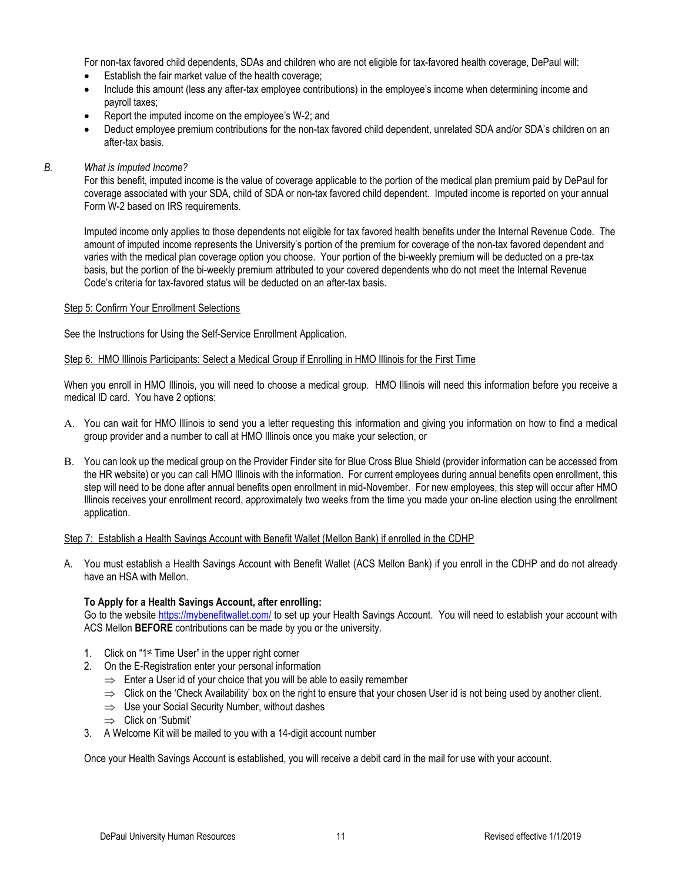For non-tax favored child dependents, SDAs and children who are not eligible for tax-favored health coverage, DePaul will:

- Establish the fair market value of the health coverage;
- Include this amount (less any after-tax employee contributions) in the employee's income when determining income and payroll taxes;
- Report the imputed income on the employee's W-2; and
- Deduct employee premium contributions for the non-tax favored child dependent, unrelated SDA and/or SDA's children on an after-tax basis.
- *B. What is Imputed Income?*

For this benefit, imputed income is the value of coverage applicable to the portion of the medical plan premium paid by DePaul for coverage associated with your SDA, child of SDA or non-tax favored child dependent. Imputed income is reported on your annual Form W-2 based on IRS requirements.

Imputed income only applies to those dependents not eligible for tax favored health benefits under the Internal Revenue Code. The amount of imputed income represents the University's portion of the premium for coverage of the non-tax favored dependent and varies with the medical plan coverage option you choose. Your portion of the bi-weekly premium will be deducted on a pre-tax basis, but the portion of the bi-weekly premium attributed to your covered dependents who do not meet the Internal Revenue Code's criteria for tax-favored status will be deducted on an after-tax basis.

## Step 5: Confirm Your Enrollment Selections

See the Instructions for Using the Self-Service Enrollment Application.

#### Step 6: HMO Illinois Participants: Select a Medical Group if Enrolling in HMO Illinois for the First Time

When you enroll in HMO Illinois, you will need to choose a medical group. HMO Illinois will need this information before you receive a medical ID card. You have 2 options:

- A. You can wait for HMO Illinois to send you a letter requesting this information and giving you information on how to find a medical group provider and a number to call at HMO Illinois once you make your selection, or
- B. You can look up the medical group on the Provider Finder site for Blue Cross Blue Shield (provider information can be accessed from the HR website) or you can call HMO Illinois with the information. For current employees during annual benefits open enrollment, this step will need to be done after annual benefits open enrollment in mid-November. For new employees, this step will occur after HMO Illinois receives your enrollment record, approximately two weeks from the time you made your on-line election using the enrollment application.

## Step 7: Establish a Health Savings Account with Benefit Wallet (Mellon Bank) if enrolled in the CDHP

A. You must establish a Health Savings Account with Benefit Wallet (ACS Mellon Bank) if you enroll in the CDHP and do not already have an HSA with Mellon.

## **To Apply for a Health Savings Account, after enrolling:**

Go to the websit[e https://mybenefitwallet.com/](https://mybenefitwallet.com/) to set up your Health Savings Account. You will need to establish your account with ACS Mellon **BEFORE** contributions can be made by you or the university.

- 1. Click on "1st Time User" in the upper right corner
- 2. On the E-Registration enter your personal information
	- $\Rightarrow$  Enter a User id of your choice that you will be able to easily remember
	- $\Rightarrow$  Click on the 'Check Availability' box on the right to ensure that your chosen User id is not being used by another client.
	- ⇒ Use your Social Security Number, without dashes
	- ⇒ Click on 'Submit'
- 3. A Welcome Kit will be mailed to you with a 14-digit account number

Once your Health Savings Account is established, you will receive a debit card in the mail for use with your account.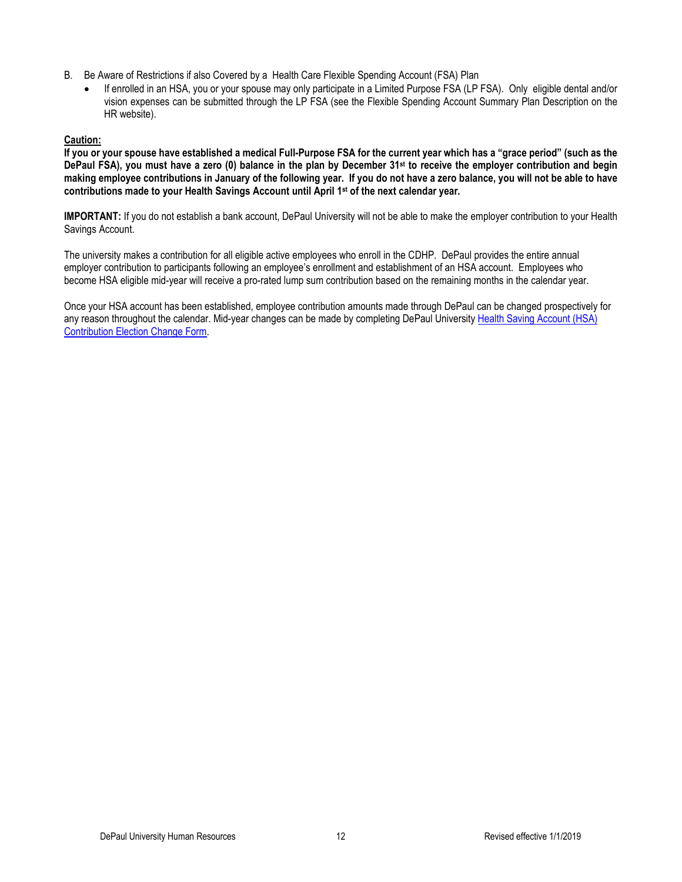- B. Be Aware of Restrictions if also Covered by a Health Care Flexible Spending Account (FSA) Plan
	- If enrolled in an HSA, you or your spouse may only participate in a Limited Purpose FSA (LP FSA). Only eligible dental and/or vision expenses can be submitted through the LP FSA (see the Flexible Spending Account Summary Plan Description on the HR website).

## **Caution:**

**If you or your spouse have established a medical Full-Purpose FSA for the current year which has a "grace period" (such as the DePaul FSA), you must have a zero (0) balance in the plan by December 31st to receive the employer contribution and begin making employee contributions in January of the following year. If you do not have a zero balance, you will not be able to have contributions made to your Health Savings Account until April 1st of the next calendar year.**

**IMPORTANT:** If you do not establish a bank account, DePaul University will not be able to make the employer contribution to your Health Savings Account.

The university makes a contribution for all eligible active employees who enroll in the CDHP. DePaul provides the entire annual employer contribution to participants following an employee's enrollment and establishment of an HSA account. Employees who become HSA eligible mid-year will receive a pro-rated lump sum contribution based on the remaining months in the calendar year.

Once your HSA account has been established, employee contribution amounts made through DePaul can be changed prospectively for any reason throughout the calendar. Mid-year changes can be made by completing DePaul University Health [Saving Account \(HSA\)](https://offices.depaul.edu/human-resources/forms/authenticated/Documents/2015_HSA_Contribution_Election_Change_Form_111714.pdf) [Contribution Election Change Form.](https://offices.depaul.edu/human-resources/forms/authenticated/Documents/2015_HSA_Contribution_Election_Change_Form_111714.pdf)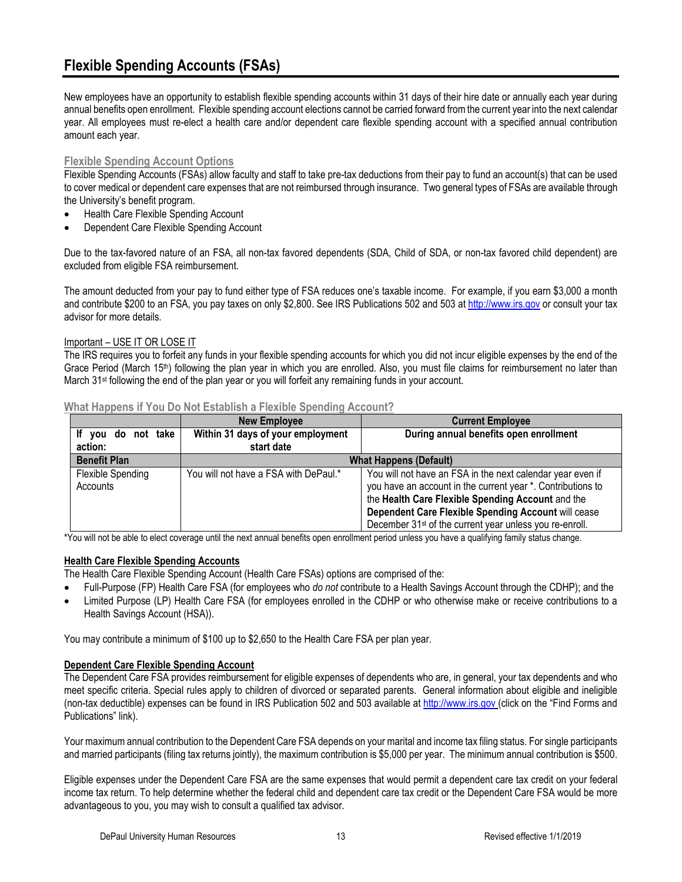New employees have an opportunity to establish flexible spending accounts within 31 days of their hire date or annually each year during annual benefits open enrollment. Flexible spending account elections cannot be carried forward from the current year into the next calendar year. All employees must re-elect a health care and/or dependent care flexible spending account with a specified annual contribution amount each year.

## **Flexible Spending Account Options**

Flexible Spending Accounts (FSAs) allow faculty and staff to take pre-tax deductions from their pay to fund an account(s) that can be used to cover medical or dependent care expenses that are not reimbursed through insurance. Two general types of FSAs are available through the University's benefit program.

- Health Care Flexible Spending Account
- Dependent Care Flexible Spending Account

Due to the tax-favored nature of an FSA, all non-tax favored dependents (SDA, Child of SDA, or non-tax favored child dependent) are excluded from eligible FSA reimbursement.

The amount deducted from your pay to fund either type of FSA reduces one's taxable income. For example, if you earn \$3,000 a month and contribute \$200 to an FSA, you pay taxes on only \$2,800. See IRS Publications 502 and 503 a[t http://www.irs.gov](http://www.irs.gov/) or consult your tax advisor for more details.

## Important – USE IT OR LOSE IT

The IRS requires you to forfeit any funds in your flexible spending accounts for which you did not incur eligible expenses by the end of the Grace Period (March 15<sup>th</sup>) following the plan year in which you are enrolled. Also, you must file claims for reimbursement no later than March 31st following the end of the plan year or you will forfeit any remaining funds in your account.

|                     | <b>New Employee</b>                   | <b>Current Employee</b>                                             |  |
|---------------------|---------------------------------------|---------------------------------------------------------------------|--|
| If you do not take  | Within 31 days of your employment     | During annual benefits open enrollment                              |  |
| action:             | start date                            |                                                                     |  |
| <b>Benefit Plan</b> | <b>What Happens (Default)</b>         |                                                                     |  |
| Flexible Spending   | You will not have a FSA with DePaul.* | You will not have an FSA in the next calendar year even if          |  |
| Accounts            |                                       | you have an account in the current year *. Contributions to         |  |
|                     |                                       | the Health Care Flexible Spending Account and the                   |  |
|                     |                                       | Dependent Care Flexible Spending Account will cease                 |  |
|                     |                                       | December 31 <sup>st</sup> of the current year unless you re-enroll. |  |

## **What Happens if You Do Not Establish a Flexible Spending Account?**

\*You will not be able to elect coverage until the next annual benefits open enrollment period unless you have a qualifying family status change.

## **Health Care Flexible Spending Accounts**

The Health Care Flexible Spending Account (Health Care FSAs) options are comprised of the:

- Full-Purpose (FP) Health Care FSA (for employees who *do not* contribute to a Health Savings Account through the CDHP); and the
- Limited Purpose (LP) Health Care FSA (for employees enrolled in the CDHP or who otherwise make or receive contributions to a Health Savings Account (HSA)).

You may contribute a minimum of \$100 up to \$2,650 to the Health Care FSA per plan year.

## **Dependent Care Flexible Spending Account**

The Dependent Care FSA provides reimbursement for eligible expenses of dependents who are, in general, your tax dependents and who meet specific criteria. Special rules apply to children of divorced or separated parents. General information about eligible and ineligible (non-tax deductible) expenses can be found in IRS Publication 502 and 503 available at [http://www.irs.gov](http://www.irs.gov/) (click on the "Find Forms and Publications" link).

Your maximum annual contribution to the Dependent Care FSA depends on your marital and income tax filing status. For single participants and married participants (filing tax returns jointly), the maximum contribution is \$5,000 per year. The minimum annual contribution is \$500.

Eligible expenses under the Dependent Care FSA are the same expenses that would permit a dependent care tax credit on your federal income tax return. To help determine whether the federal child and dependent care tax credit or the Dependent Care FSA would be more advantageous to you, you may wish to consult a qualified tax advisor.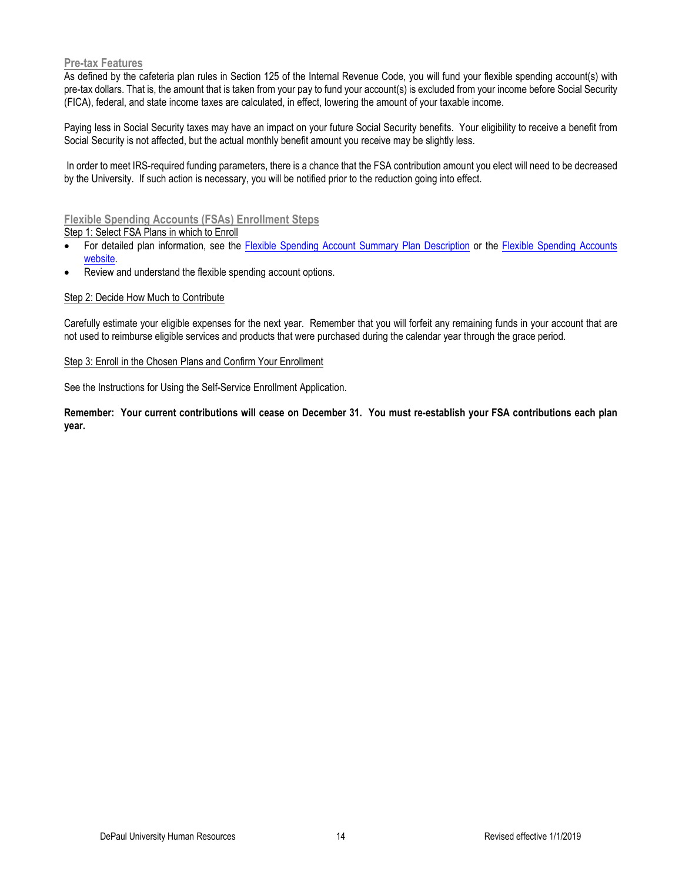## **Pre-tax Features**

As defined by the cafeteria plan rules in Section 125 of the Internal Revenue Code, you will fund your flexible spending account(s) with pre-tax dollars. That is, the amount that is taken from your pay to fund your account(s) is excluded from your income before Social Security (FICA), federal, and state income taxes are calculated, in effect, lowering the amount of your taxable income.

Paying less in Social Security taxes may have an impact on your future Social Security benefits. Your eligibility to receive a benefit from Social Security is not affected, but the actual monthly benefit amount you receive may be slightly less.

In order to meet IRS-required funding parameters, there is a chance that the FSA contribution amount you elect will need to be decreased by the University. If such action is necessary, you will be notified prior to the reduction going into effect.

## **Flexible Spending Accounts (FSAs) Enrollment Steps**

Step 1: Select FSA Plans in which to Enroll

- For detailed plan information, see the [Flexible Spending Account Summary Plan Description](https://offices.depaul.edu/human-resources/benefits/health-benefits/sdps/Pages/default.aspx) or the [Flexible Spending Accounts](https://offices.depaul.edu/human-resources/benefits/health-benefits/Pages/fsa.aspx)  [website.](https://offices.depaul.edu/human-resources/benefits/health-benefits/Pages/fsa.aspx)
- Review and understand the flexible spending account options.

#### Step 2: Decide How Much to Contribute

Carefully estimate your eligible expenses for the next year. Remember that you will forfeit any remaining funds in your account that are not used to reimburse eligible services and products that were purchased during the calendar year through the grace period.

#### Step 3: Enroll in the Chosen Plans and Confirm Your Enrollment

See the Instructions for Using the Self-Service Enrollment Application.

**Remember: Your current contributions will cease on December 31. You must re-establish your FSA contributions each plan year.**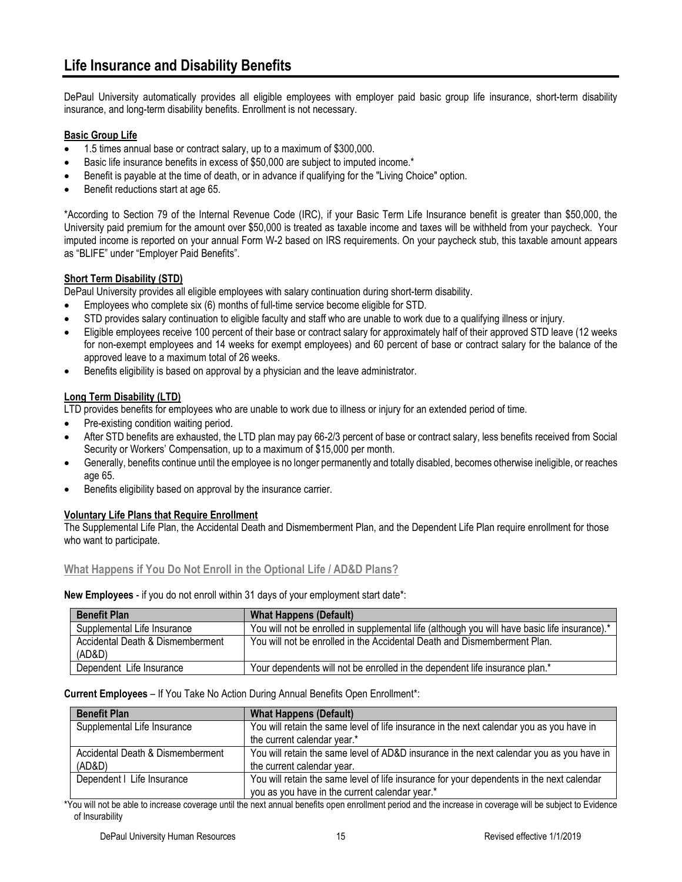DePaul University automatically provides all eligible employees with employer paid basic group life insurance, short-term disability insurance, and long-term disability benefits. Enrollment is not necessary.

## **Basic Group Life**

- 1.5 times annual base or contract salary, up to a maximum of \$300,000.
- Basic life insurance benefits in excess of \$50,000 are subject to imputed income.\*
- Benefit is payable at the time of death, or in advance if qualifying for the "Living Choice" option.
- Benefit reductions start at age 65.

\*According to Section 79 of the Internal Revenue Code (IRC), if your Basic Term Life Insurance benefit is greater than \$50,000, the University paid premium for the amount over \$50,000 is treated as taxable income and taxes will be withheld from your paycheck. Your imputed income is reported on your annual Form W-2 based on IRS requirements. On your paycheck stub, this taxable amount appears as "BLIFE" under "Employer Paid Benefits".

## **Short Term Disability (STD)**

DePaul University provides all eligible employees with salary continuation during short-term disability.

- Employees who complete six (6) months of full-time service become eligible for STD.
- STD provides salary continuation to eligible faculty and staff who are unable to work due to a qualifying illness or injury.
- Eligible employees receive 100 percent of their base or contract salary for approximately half of their approved STD leave (12 weeks for non-exempt employees and 14 weeks for exempt employees) and 60 percent of base or contract salary for the balance of the approved leave to a maximum total of 26 weeks.
- Benefits eligibility is based on approval by a physician and the leave administrator.

## **Long Term Disability (LTD)**

LTD provides benefits for employees who are unable to work due to illness or injury for an extended period of time.

- Pre-existing condition waiting period.
- After STD benefits are exhausted, the LTD plan may pay 66-2/3 percent of base or contract salary, less benefits received from Social Security or Workers' Compensation, up to a maximum of \$15,000 per month.
- Generally, benefits continue until the employee is no longer permanently and totally disabled, becomes otherwise ineligible, or reaches age 65.
- Benefits eligibility based on approval by the insurance carrier.

## **Voluntary Life Plans that Require Enrollment**

The Supplemental Life Plan, the Accidental Death and Dismemberment Plan, and the Dependent Life Plan require enrollment for those who want to participate.

## **What Happens if You Do Not Enroll in the Optional Life / AD&D Plans?**

**New Employees** - if you do not enroll within 31 days of your employment start date\*:

| <b>Benefit Plan</b>                        | <b>What Happens (Default)</b>                                                                 |
|--------------------------------------------|-----------------------------------------------------------------------------------------------|
| Supplemental Life Insurance                | You will not be enrolled in supplemental life (although you will have basic life insurance).* |
| Accidental Death & Dismemberment<br>(AD&D) | You will not be enrolled in the Accidental Death and Dismemberment Plan.                      |
| Dependent Life Insurance                   | Your dependents will not be enrolled in the dependent life insurance plan.*                   |

#### **Current Employees** – If You Take No Action During Annual Benefits Open Enrollment\*:

| <b>Benefit Plan</b>              | <b>What Happens (Default)</b>                                                             |
|----------------------------------|-------------------------------------------------------------------------------------------|
| Supplemental Life Insurance      | You will retain the same level of life insurance in the next calendar you as you have in  |
|                                  | the current calendar year.*                                                               |
| Accidental Death & Dismemberment | You will retain the same level of AD&D insurance in the next calendar you as you have in  |
| (AD&D)                           | the current calendar year.                                                                |
| Dependent   Life Insurance       | You will retain the same level of life insurance for your dependents in the next calendar |
|                                  | you as you have in the current calendar year.*                                            |

\*You will not be able to increase coverage until the next annual benefits open enrollment period and the increase in coverage will be subject to Evidence of Insurability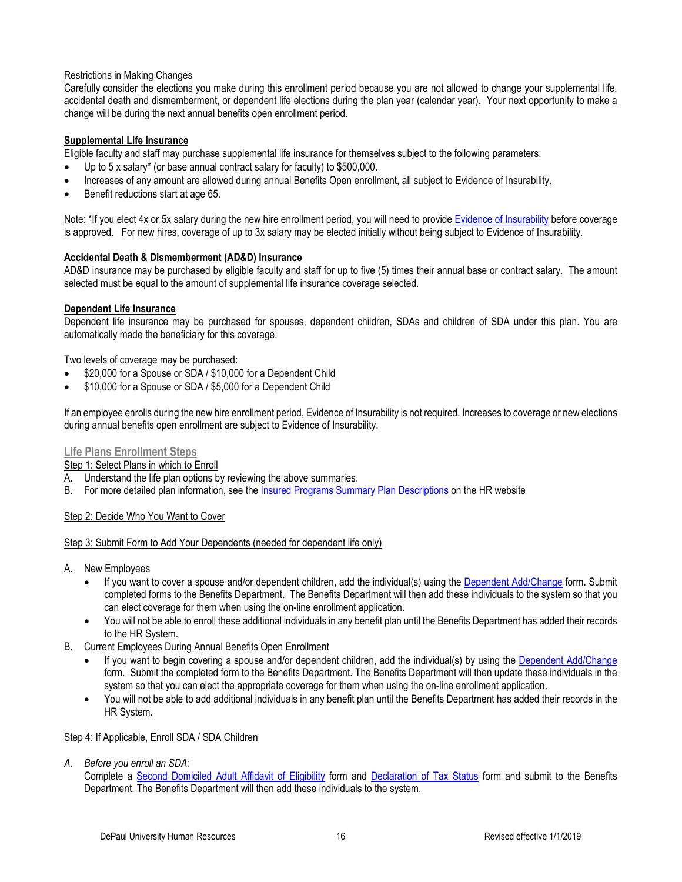## Restrictions in Making Changes

Carefully consider the elections you make during this enrollment period because you are not allowed to change your supplemental life, accidental death and dismemberment, or dependent life elections during the plan year (calendar year). Your next opportunity to make a change will be during the next annual benefits open enrollment period.

## **Supplemental Life Insurance**

Eligible faculty and staff may purchase supplemental life insurance for themselves subject to the following parameters:

- Up to 5 x salary\* (or base annual contract salary for faculty) to \$500,000.
- Increases of any amount are allowed during annual Benefits Open enrollment, all subject to Evidence of Insurability.
- Benefit reductions start at age 65.

Note: \*If you elect 4x or 5x salary during the new hire enrollment period, you will need to provid[e Evidence of Insurability](https://offices.depaul.edu/human-resources/benefits/life-disability/Documents/Liberty_Mutual_EO_Instructions2015.pdf) before coverage is approved. For new hires, coverage of up to 3x salary may be elected initially without being subject to Evidence of Insurability.

## **Accidental Death & Dismemberment (AD&D) Insurance**

AD&D insurance may be purchased by eligible faculty and staff for up to five (5) times their annual base or contract salary. The amount selected must be equal to the amount of supplemental life insurance coverage selected.

#### **Dependent Life Insurance**

Dependent life insurance may be purchased for spouses, dependent children, SDAs and children of SDA under this plan. You are automatically made the beneficiary for this coverage.

Two levels of coverage may be purchased:

- \$20,000 for a Spouse or SDA / \$10,000 for a Dependent Child
- \$10,000 for a Spouse or SDA / \$5,000 for a Dependent Child

If an employee enrolls during the new hire enrollment period, Evidence of Insurability is not required. Increases to coverage or new elections during annual benefits open enrollment are subject to Evidence of Insurability.

## **Life Plans Enrollment Steps**

Step 1: Select Plans in which to Enroll

- A. Understand the life plan options by reviewing the above summaries.
- B. For more detailed plan information, see the [Insured Programs Summary Plan Descriptions](https://offices.depaul.edu/human-resources/benefits/health-benefits/sdps/Pages/default.aspx) on the HR website

## Step 2: Decide Who You Want to Cover

#### Step 3: Submit Form to Add Your Dependents (needed for dependent life only)

- A. New Employees
	- If you want to cover a spouse and/or dependent children, add the individual(s) using the [Dependent Add/Change](https://offices.depaul.edu/human-resources/forms/Documents/2019-Dependent-Add-Change-Form.pdf) form. Submit completed forms to the Benefits Department. The Benefits Department will then add these individuals to the system so that you can elect coverage for them when using the on-line enrollment application.
	- You will not be able to enroll these additional individuals in any benefit plan until the Benefits Department has added their records to the HR System.
- B. Current Employees During Annual Benefits Open Enrollment
	- If you want to begin covering a spouse and/or dependent children, add the individual(s) by using the [Dependent Add/Change](https://offices.depaul.edu/human-resources/forms/Documents/2019-Dependent-Add-Change-Form.pdf) form. Submit the completed form to the Benefits Department. The Benefits Department will then update these individuals in the system so that you can elect the appropriate coverage for them when using the on-line enrollment application.
	- You will not be able to add additional individuals in any benefit plan until the Benefits Department has added their records in the HR System.

#### Step 4: If Applicable, Enroll SDA / SDA Children

*A. Before you enroll an SDA:*

Complete a Second [Domiciled Adult Affidavit of Eligibility](https://offices.depaul.edu/human-resources/forms/Documents/2019-SDA-Affidavit-Form-Life-Events.pdf) form and [Declaration of Tax Status](https://offices.depaul.edu/human-resources/forms/Documents/2019-Declaration-of-Tax-Status-Form.pdf) form and submit to the Benefits Department. The Benefits Department will then add these individuals to the system.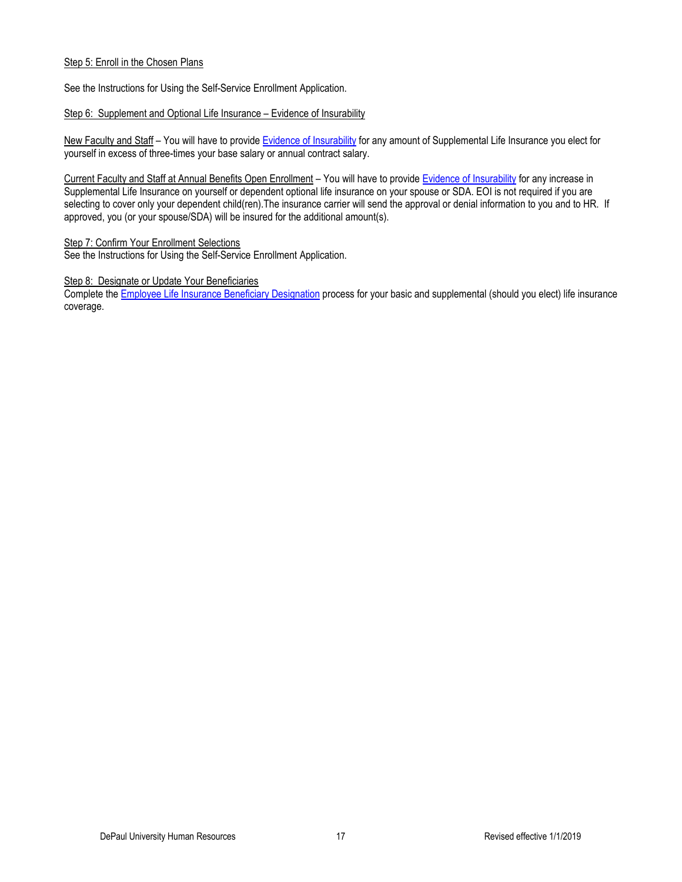## Step 5: Enroll in the Chosen Plans

See the Instructions for Using the Self-Service Enrollment Application.

## Step 6: Supplement and Optional Life Insurance – Evidence of Insurability

New Faculty and Staff - You will have to provide [Evidence of Insurability](https://offices.depaul.edu/human-resources/benefits/life-disability/Documents/Liberty_Mutual_EO_Instructions2015.pdf) for any amount of Supplemental Life Insurance you elect for yourself in excess of three-times your base salary or annual contract salary.

Current Faculty and Staff at Annual Benefits Open Enrollment – You will have to provid[e Evidence of Insurability](https://offices.depaul.edu/human-resources/benefits/life-disability/Documents/Liberty_Mutual_EO_Instructions2015.pdf) for any increase in Supplemental Life Insurance on yourself or dependent optional life insurance on your spouse or SDA. EOI is not required if you are selecting to cover only your dependent child(ren). The insurance carrier will send the approval or denial information to you and to HR. If approved, you (or your spouse/SDA) will be insured for the additional amount(s).

## Step 7: Confirm Your Enrollment Selections

See the Instructions for Using the Self-Service Enrollment Application.

#### Step 8: Designate or Update Your Beneficiaries

Complete th[e Employee Life Insurance Beneficiary Designation](https://offices.depaul.edu/human-resources/benefits/life-disability/Pages/beneficiaries.aspx) process for your basic and supplemental (should you elect) life insurance coverage.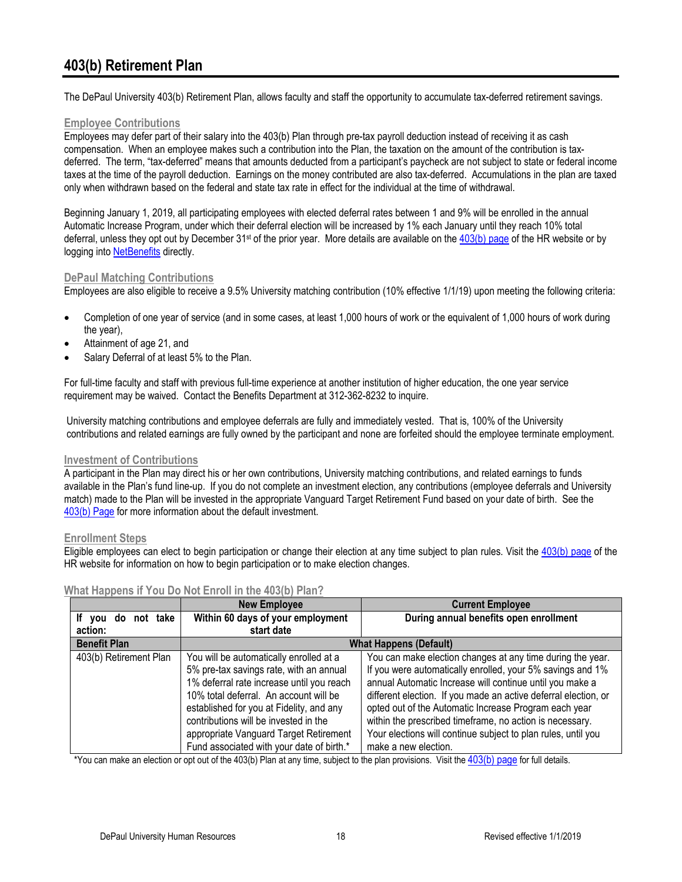# **403(b) Retirement Plan**

The DePaul University 403(b) Retirement Plan, allows faculty and staff the opportunity to accumulate tax-deferred retirement savings.

## **Employee Contributions**

Employees may defer part of their salary into the 403(b) Plan through pre-tax payroll deduction instead of receiving it as cash compensation. When an employee makes such a contribution into the Plan, the taxation on the amount of the contribution is taxdeferred. The term, "tax-deferred" means that amounts deducted from a participant's paycheck are not subject to state or federal income taxes at the time of the payroll deduction. Earnings on the money contributed are also tax-deferred. Accumulations in the plan are taxed only when withdrawn based on the federal and state tax rate in effect for the individual at the time of withdrawal.

Beginning January 1, 2019, all participating employees with elected deferral rates between 1 and 9% will be enrolled in the annual Automatic Increase Program, under which their deferral election will be increased by 1% each January until they reach 10% total deferral, unless they opt out by December 31<sup>st</sup> of the prior year. More details are available on the  $403(b)$  page of the HR website or by logging into [NetBenefits](https://nb.fidelity.com/public/nb/DePaul/home) directly.

## **DePaul Matching Contributions**

Employees are also eligible to receive a 9.5% University matching contribution (10% effective 1/1/19) upon meeting the following criteria:

- Completion of one year of service (and in some cases, at least 1,000 hours of work or the equivalent of 1,000 hours of work during the year),
- Attainment of age 21, and
- Salary Deferral of at least 5% to the Plan.

For full-time faculty and staff with previous full-time experience at another institution of higher education, the one year service requirement may be waived. Contact the Benefits Department at 312-362-8232 to inquire.

University matching contributions and employee deferrals are fully and immediately vested. That is, 100% of the University contributions and related earnings are fully owned by the participant and none are forfeited should the employee terminate employment.

## **Investment of Contributions**

A participant in the Plan may direct his or her own contributions, University matching contributions, and related earnings to funds available in the Plan's fund line-up. If you do not complete an investment election, any contributions (employee deferrals and University match) made to the Plan will be invested in the appropriate Vanguard Target Retirement Fund based on your date of birth. See the [403\(b\) Page](https://offices.depaul.edu/human-resources/benefits/403b-retirement/Pages/default.aspx) for more information about the default investment.

## **Enrollment Steps**

Eligible employees can elect to begin participation or change their election at any time subject to plan rules. Visit the [403\(b\) page](https://offices.depaul.edu/human-resources/benefits/403b-retirement/Pages/default.aspx) of the HR website for information on how to begin participation or to make election changes.

|                        | <b>New Employee</b>                                                                                                                                                                                                                                                                                                                                   | <b>Current Employee</b>                                                                                                                                                                                                                                                                                                                                                                                                                                               |  |
|------------------------|-------------------------------------------------------------------------------------------------------------------------------------------------------------------------------------------------------------------------------------------------------------------------------------------------------------------------------------------------------|-----------------------------------------------------------------------------------------------------------------------------------------------------------------------------------------------------------------------------------------------------------------------------------------------------------------------------------------------------------------------------------------------------------------------------------------------------------------------|--|
| If you do not take     | Within 60 days of your employment                                                                                                                                                                                                                                                                                                                     | During annual benefits open enrollment                                                                                                                                                                                                                                                                                                                                                                                                                                |  |
| action:                | start date                                                                                                                                                                                                                                                                                                                                            |                                                                                                                                                                                                                                                                                                                                                                                                                                                                       |  |
| <b>Benefit Plan</b>    | <b>What Happens (Default)</b>                                                                                                                                                                                                                                                                                                                         |                                                                                                                                                                                                                                                                                                                                                                                                                                                                       |  |
| 403(b) Retirement Plan | You will be automatically enrolled at a<br>5% pre-tax savings rate, with an annual<br>1% deferral rate increase until you reach<br>10% total deferral. An account will be<br>established for you at Fidelity, and any<br>contributions will be invested in the<br>appropriate Vanguard Target Retirement<br>Fund associated with your date of birth.* | You can make election changes at any time during the year.<br>If you were automatically enrolled, your 5% savings and 1%<br>annual Automatic Increase will continue until you make a<br>different election. If you made an active deferral election, or<br>opted out of the Automatic Increase Program each year<br>within the prescribed timeframe, no action is necessary.<br>Your elections will continue subject to plan rules, until you<br>make a new election. |  |

## **What Happens if You Do Not Enroll in the 403(b) Plan?**

\*You can make an election or opt out of the 403(b) Plan at any time, subject to the plan provisions. Visit the  $403(b)$  page for full details.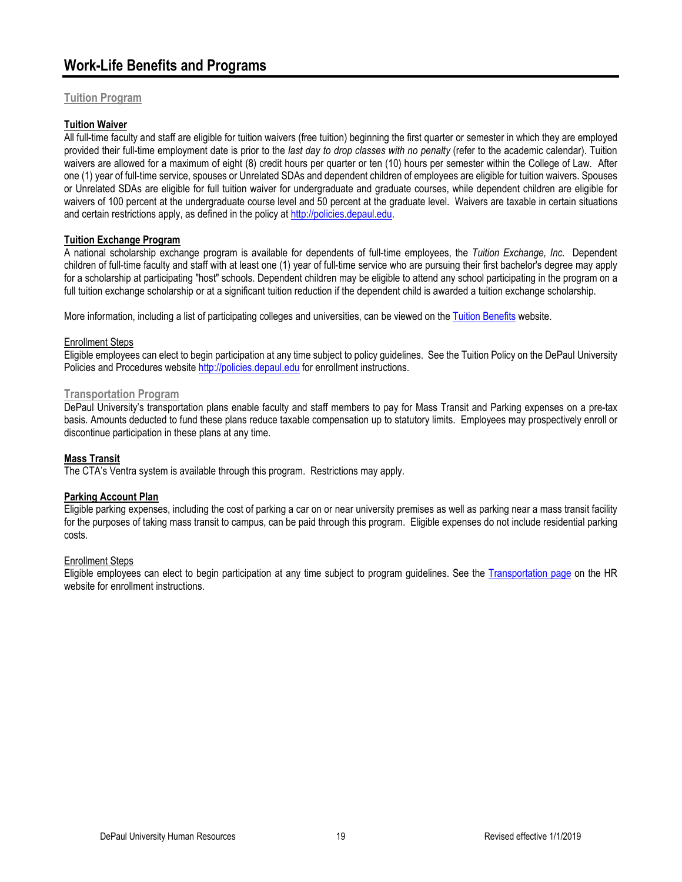# **Work-Life Benefits and Programs**

## **Tuition Program**

## **Tuition Waiver**

All full-time faculty and staff are eligible for tuition waivers (free tuition) beginning the first quarter or semester in which they are employed provided their full-time employment date is prior to the *last day to drop classes with no penalty* (refer to the academic calendar). Tuition waivers are allowed for a maximum of eight (8) credit hours per quarter or ten (10) hours per semester within the College of Law. After one (1) year of full-time service, spouses or Unrelated SDAs and dependent children of employees are eligible for tuition waivers. Spouses or Unrelated SDAs are eligible for full tuition waiver for undergraduate and graduate courses, while dependent children are eligible for waivers of 100 percent at the undergraduate course level and 50 percent at the graduate level. Waivers are taxable in certain situations and certain restrictions apply, as defined in the policy at [http://policies.depaul.edu.](http://policies.depaul.edu/)

## **Tuition Exchange Program**

A national scholarship exchange program is available for dependents of full-time employees, the *Tuition Exchange, Inc.* Dependent children of full-time faculty and staff with at least one (1) year of full-time service who are pursuing their first bachelor's degree may apply for a scholarship at participating "host" schools. Dependent children may be eligible to attend any school participating in the program on a full tuition exchange scholarship or at a significant tuition reduction if the dependent child is awarded a tuition exchange scholarship.

More information, including a list of participating colleges and universities, can be viewed on the [Tuition Benefits](https://offices.depaul.edu/human-resources/benefits/tuition/Pages/default.aspx) website.

#### Enrollment Steps

Eligible employees can elect to begin participation at any time subject to policy guidelines. See the Tuition Policy on the DePaul University Policies and Procedures websit[e http://policies.depaul.edu](http://policies.depaul.edu/) for enrollment instructions.

### **Transportation Program**

DePaul University's transportation plans enable faculty and staff members to pay for Mass Transit and Parking expenses on a pre-tax basis. Amounts deducted to fund these plans reduce taxable compensation up to statutory limits. Employees may prospectively enroll or discontinue participation in these plans at any time.

## **Mass Transit**

The CTA's Ventra system is available through this program. Restrictions may apply.

## **Parking Account Plan**

Eligible parking expenses, including the cost of parking a car on or near university premises as well as parking near a mass transit facility for the purposes of taking mass transit to campus, can be paid through this program. Eligible expenses do not include residential parking costs.

#### Enrollment Steps

Eligible employees can elect to begin participation at any time subject to program guidelines. See the [Transportation page](https://offices.depaul.edu/human-resources/benefits/work-life/Pages/transportation.aspx) on the HR website for enrollment instructions.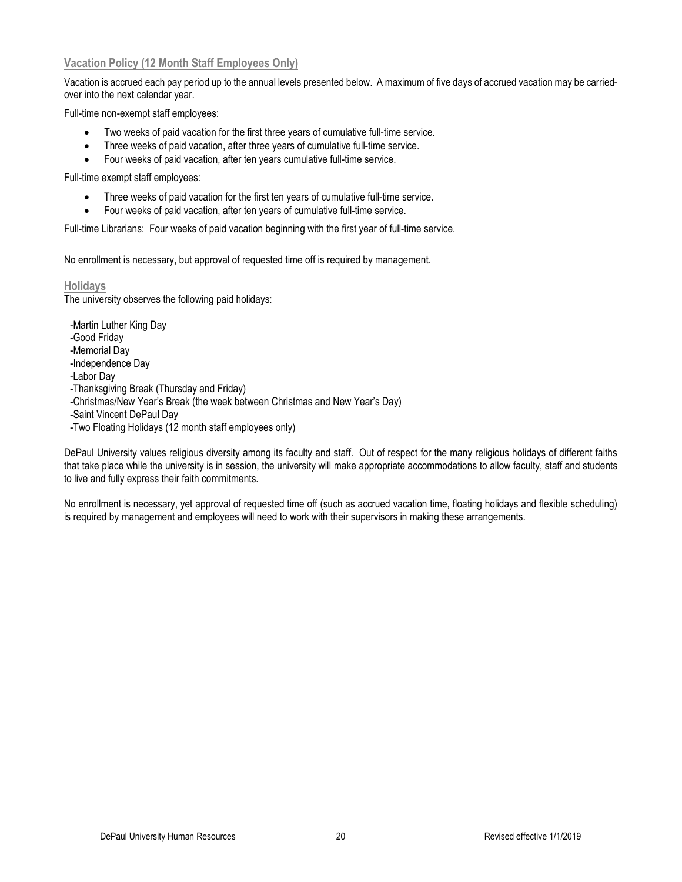## **Vacation Policy (12 Month Staff Employees Only)**

Vacation is accrued each pay period up to the annual levels presented below. A maximum of five days of accrued vacation may be carriedover into the next calendar year.

Full-time non-exempt staff employees:

- Two weeks of paid vacation for the first three years of cumulative full-time service.
- Three weeks of paid vacation, after three years of cumulative full-time service.
- Four weeks of paid vacation, after ten years cumulative full-time service.

Full-time exempt staff employees:

- Three weeks of paid vacation for the first ten years of cumulative full-time service.
- Four weeks of paid vacation, after ten years of cumulative full-time service.

Full-time Librarians: Four weeks of paid vacation beginning with the first year of full-time service.

No enrollment is necessary, but approval of requested time off is required by management.

## **Holidays**

The university observes the following paid holidays:

-Martin Luther King Day

-Good Friday

- -Memorial Day
- -Independence Day
- -Labor Day
- -Thanksgiving Break (Thursday and Friday)
- -Christmas/New Year's Break (the week between Christmas and New Year's Day)
- -Saint Vincent DePaul Day
- -Two Floating Holidays (12 month staff employees only)

DePaul University values religious diversity among its faculty and staff. Out of respect for the many religious holidays of different faiths that take place while the university is in session, the university will make appropriate accommodations to allow faculty, staff and students to live and fully express their faith commitments.

No enrollment is necessary, yet approval of requested time off (such as accrued vacation time, floating holidays and flexible scheduling) is required by management and employees will need to work with their supervisors in making these arrangements.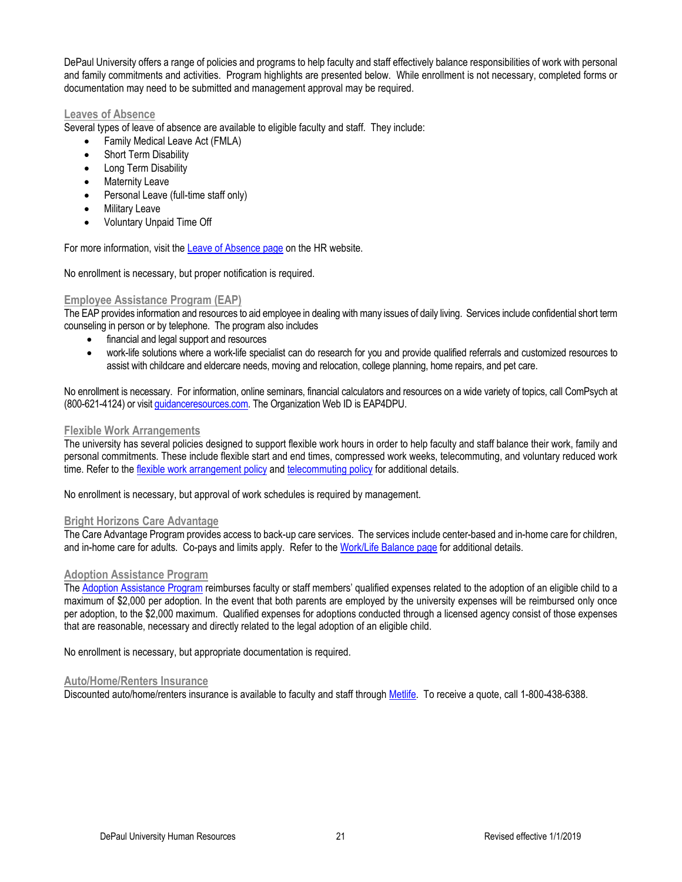DePaul University offers a range of policies and programs to help faculty and staff effectively balance responsibilities of work with personal and family commitments and activities. Program highlights are presented below. While enrollment is not necessary, completed forms or documentation may need to be submitted and management approval may be required.

### **Leaves of Absence**

Several types of leave of absence are available to eligible faculty and staff. They include:

- Family Medical Leave Act (FMLA)
- **Short Term Disability**
- Long Term Disability
- **Maternity Leave**
- Personal Leave (full-time staff only)
- Military Leave
- Voluntary Unpaid Time Off

For more information, visit th[e Leave of Absence page](https://offices.depaul.edu/human-resources/benefits/work-life/leave/Pages/default.aspx) on the HR website.

No enrollment is necessary, but proper notification is required.

## **Employee Assistance Program (EAP)**

The EAP provides information and resources to aid employee in dealing with many issues of daily living. Services include confidential short term counseling in person or by telephone. The program also includes

- financial and legal support and resources
- work-life solutions where a work-life specialist can do research for you and provide qualified referrals and customized resources to assist with childcare and eldercare needs, moving and relocation, college planning, home repairs, and pet care.

No enrollment is necessary. For information, online seminars, financial calculators and resources on a wide variety of topics, call ComPsych at (800-621-4124) or visit [guidanceresources.com.](https://guidanceresources.com/groWeb/login/login.xhtml) The Organization Web ID is EAP4DPU.

#### **Flexible Work Arrangements**

The university has several policies designed to support flexible work hours in order to help faculty and staff balance their work, family and personal commitments. These include flexible start and end times, compressed work weeks, telecommuting, and voluntary reduced work time. Refer to the [flexible work arrangement policy](http://policies.depaul.edu/policy/policy.aspx?pid=208) and [telecommuting policy](http://policies.depaul.edu/policy/policy.aspx?pid=319) for additional details.

No enrollment is necessary, but approval of work schedules is required by management.

## **Bright Horizons Care Advantage**

The Care Advantage Program provides access to back-up care services. The services include center-based and in-home care for children, and in-home care for adults. Co-pays and limits apply. Refer to th[e Work/Life Balance page](http://offices.depaul.edu/human-resources/benefits/work-life/children-family/Pages/child-care-resources.aspx) for additional details.

## **Adoption Assistance Program**

The [Adoption Assistance Program](https://offices.depaul.edu/human-resources/benefits/work-life/children-family/Pages/adoption-assistance.aspx) reimburses faculty or staff members' qualified expenses related to the adoption of an eligible child to a maximum of \$2,000 per adoption. In the event that both parents are employed by the university expenses will be reimbursed only once per adoption, to the \$2,000 maximum. Qualified expenses for adoptions conducted through a licensed agency consist of those expenses that are reasonable, necessary and directly related to the legal adoption of an eligible child.

No enrollment is necessary, but appropriate documentation is required.

#### **Auto/Home/Renters Insurance**

Discounted auto/home/renters insurance is available to faculty and staff throug[h Metlife.](https://offices.depaul.edu/human-resources/benefits/work-life/Pages/default.aspx) To receive a quote, call 1-800-438-6388.